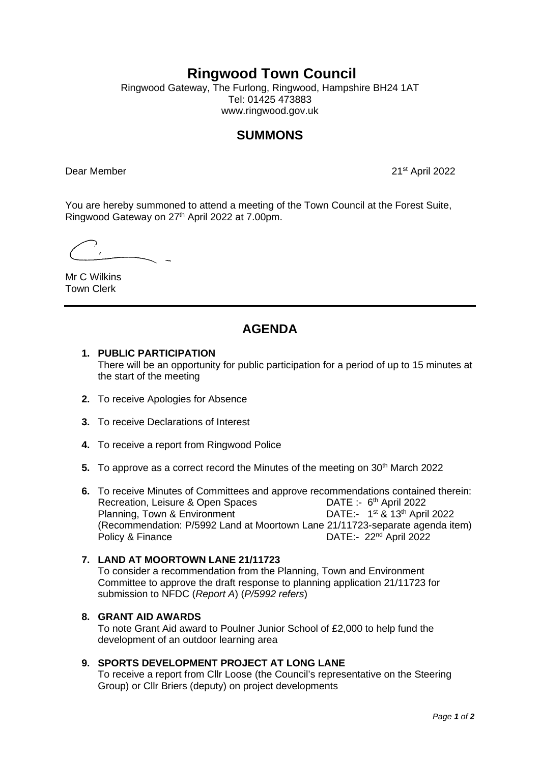# **Ringwood Town Council**

Ringwood Gateway, The Furlong, Ringwood, Hampshire BH24 1AT Tel: 01425 473883 www.ringwood.gov.uk

# **SUMMONS**

Dear Member 21st April 2022

You are hereby summoned to attend a meeting of the Town Council at the Forest Suite, Ringwood Gateway on 27<sup>th</sup> April 2022 at 7.00pm.

Mr C Wilkins Town Clerk

# **AGENDA**

#### **1. PUBLIC PARTICIPATION**  There will be an opportunity for public participation for a period of up to 15 minutes at the start of the meeting

- **2.** To receive Apologies for Absence
- **3.** To receive Declarations of Interest
- **4.** To receive a report from Ringwood Police
- **5.** To approve as a correct record the Minutes of the meeting on 30<sup>th</sup> March 2022
- **6.** To receive Minutes of Committees and approve recommendations contained therein: Recreation, Leisure & Open Spaces<br>
Planning, Town & Environment<br>
DATE:- 1<sup>st</sup> & 13<sup>th</sup> April 2022 Planning, Town & Environment (Recommendation: P/5992 Land at Moortown Lane 21/11723-separate agenda item) Policy & Finance DATE:- 22<sup>nd</sup> April 2022

#### **7. LAND AT MOORTOWN LANE 21/11723**

To consider a recommendation from the Planning, Town and Environment Committee to approve the draft response to planning application 21/11723 for submission to NFDC (*Report A*) (*P/5992 refers*)

#### **8. GRANT AID AWARDS**

To note Grant Aid award to Poulner Junior School of £2,000 to help fund the development of an outdoor learning area

#### **9. SPORTS DEVELOPMENT PROJECT AT LONG LANE**

To receive a report from Cllr Loose (the Council's representative on the Steering Group) or Cllr Briers (deputy) on project developments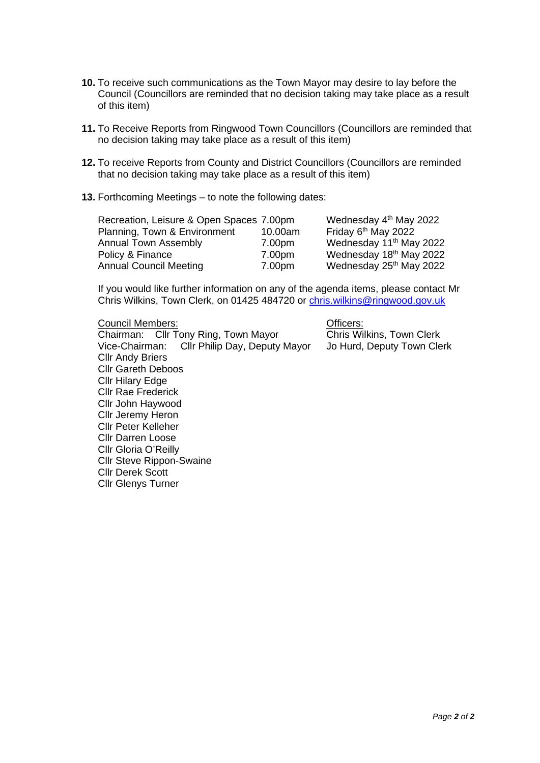- **10.** To receive such communications as the Town Mayor may desire to lay before the Council (Councillors are reminded that no decision taking may take place as a result of this item)
- **11.** To Receive Reports from Ringwood Town Councillors (Councillors are reminded that no decision taking may take place as a result of this item)
- **12.** To receive Reports from County and District Councillors (Councillors are reminded that no decision taking may take place as a result of this item)
- **13.** Forthcoming Meetings to note the following dates:

| Recreation, Leisure & Open Spaces 7.00pm |         | Wednesday 4 <sup>th</sup> May 2022  |
|------------------------------------------|---------|-------------------------------------|
| Planning, Town & Environment             | 10.00am | Friday 6 <sup>th</sup> May 2022     |
| <b>Annual Town Assembly</b>              | 7.00pm  | Wednesday 11 <sup>th</sup> May 2022 |
| Policy & Finance                         | 7.00pm  | Wednesday 18th May 2022             |
| <b>Annual Council Meeting</b>            | 7.00pm  | Wednesday 25th May 2022             |

If you would like further information on any of the agenda items, please contact Mr Chris Wilkins, Town Clerk, on 01425 484720 or [chris.wilkins@ringwood.gov.uk](mailto:chris.wilkins@ringwood.gov.uk) 

#### Council Members: Council Members:

Chairman: Cllr Tony Ring, Town Mayor Chris Wilkins, Town Clerk Vice-Chairman: Cllr Philip Day, Deputy Mayor Jo Hurd, Deputy Town Clerk Cllr Andy Briers Cllr Gareth Deboos Cllr Hilary Edge Cllr Rae Frederick Cllr John Haywood Cllr Jeremy Heron Cllr Peter Kelleher Cllr Darren Loose Cllr Gloria O'Reilly Cllr Steve Rippon-Swaine Cllr Derek Scott Cllr Glenys Turner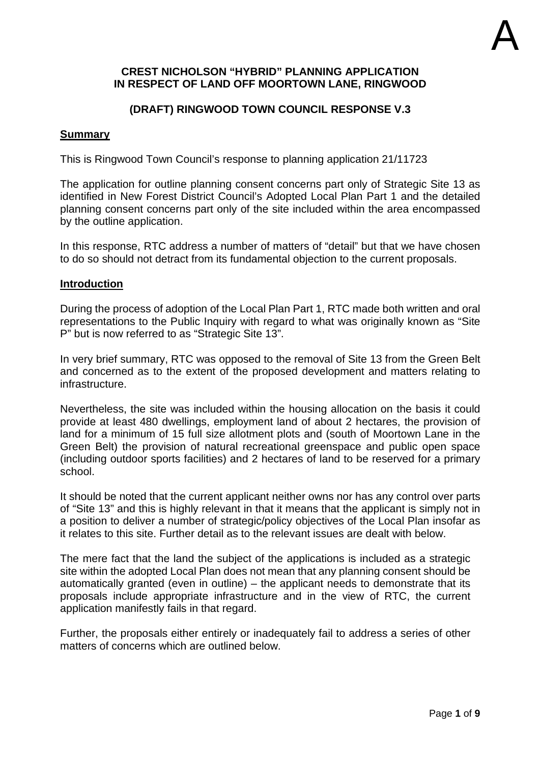### **CREST NICHOLSON "HYBRID" PLANNING APPLICATION IN RESPECT OF LAND OFF MOORTOWN LANE, RINGWOOD**

# **(DRAFT) RINGWOOD TOWN COUNCIL RESPONSE V.3**

#### **Summary**

This is Ringwood Town Council's response to planning application 21/11723

The application for outline planning consent concerns part only of Strategic Site 13 as identified in New Forest District Council's Adopted Local Plan Part 1 and the detailed planning consent concerns part only of the site included within the area encompassed by the outline application.

In this response, RTC address a number of matters of "detail" but that we have chosen to do so should not detract from its fundamental objection to the current proposals.

#### **Introduction**

During the process of adoption of the Local Plan Part 1, RTC made both written and oral representations to the Public Inquiry with regard to what was originally known as "Site P" but is now referred to as "Strategic Site 13".

In very brief summary, RTC was opposed to the removal of Site 13 from the Green Belt and concerned as to the extent of the proposed development and matters relating to infrastructure.

Nevertheless, the site was included within the housing allocation on the basis it could provide at least 480 dwellings, employment land of about 2 hectares, the provision of land for a minimum of 15 full size allotment plots and (south of Moortown Lane in the Green Belt) the provision of natural recreational greenspace and public open space (including outdoor sports facilities) and 2 hectares of land to be reserved for a primary school.

It should be noted that the current applicant neither owns nor has any control over parts of "Site 13" and this is highly relevant in that it means that the applicant is simply not in a position to deliver a number of strategic/policy objectives of the Local Plan insofar as it relates to this site. Further detail as to the relevant issues are dealt with below.

The mere fact that the land the subject of the applications is included as a strategic site within the adopted Local Plan does not mean that any planning consent should be automatically granted (even in outline) – the applicant needs to demonstrate that its proposals include appropriate infrastructure and in the view of RTC, the current application manifestly fails in that regard.

Further, the proposals either entirely or inadequately fail to address a series of other matters of concerns which are outlined below.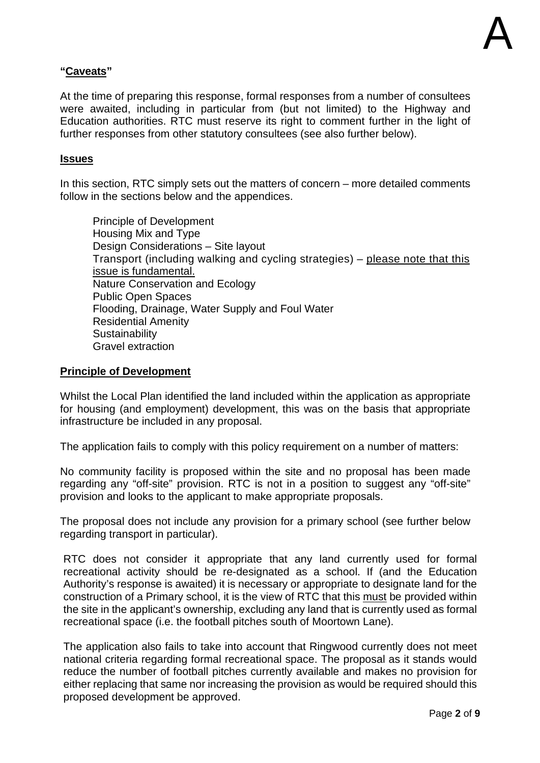## **"Caveats"**

At the time of preparing this response, formal responses from a number of consultees were awaited, including in particular from (but not limited) to the Highway and Education authorities. RTC must reserve its right to comment further in the light of further responses from other statutory consultees (see also further below).

#### **Issues**

In this section, RTC simply sets out the matters of concern – more detailed comments follow in the sections below and the appendices.

Principle of Development Housing Mix and Type Design Considerations – Site layout Transport (including walking and cycling strategies) – please note that this issue is fundamental. Nature Conservation and Ecology Public Open Spaces Flooding, Drainage, Water Supply and Foul Water Residential Amenity **Sustainability** Gravel extraction

#### **Principle of Development**

Whilst the Local Plan identified the land included within the application as appropriate for housing (and employment) development, this was on the basis that appropriate infrastructure be included in any proposal.

The application fails to comply with this policy requirement on a number of matters:

No community facility is proposed within the site and no proposal has been made regarding any "off-site" provision. RTC is not in a position to suggest any "off-site" provision and looks to the applicant to make appropriate proposals.

The proposal does not include any provision for a primary school (see further below regarding transport in particular).

RTC does not consider it appropriate that any land currently used for formal recreational activity should be re-designated as a school. If (and the Education Authority's response is awaited) it is necessary or appropriate to designate land for the construction of a Primary school, it is the view of RTC that this must be provided within the site in the applicant's ownership, excluding any land that is currently used as formal recreational space (i.e. the football pitches south of Moortown Lane).

The application also fails to take into account that Ringwood currently does not meet national criteria regarding formal recreational space. The proposal as it stands would reduce the number of football pitches currently available and makes no provision for either replacing that same nor increasing the provision as would be required should this proposed development be approved.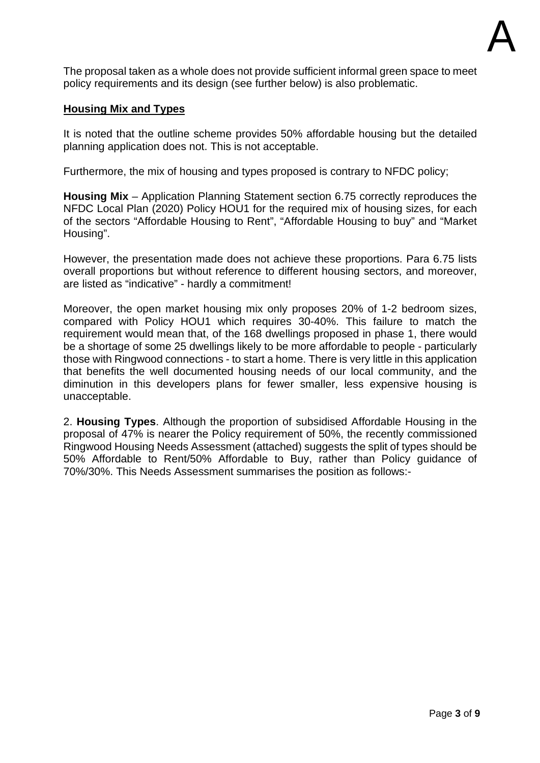The proposal taken as a whole does not provide sufficient informal green space to meet policy requirements and its design (see further below) is also problematic.

#### **Housing Mix and Types**

It is noted that the outline scheme provides 50% affordable housing but the detailed planning application does not. This is not acceptable.

Furthermore, the mix of housing and types proposed is contrary to NFDC policy;

**Housing Mix** – Application Planning Statement section 6.75 correctly reproduces the NFDC Local Plan (2020) Policy HOU1 for the required mix of housing sizes, for each of the sectors "Affordable Housing to Rent", "Affordable Housing to buy" and "Market Housing".

However, the presentation made does not achieve these proportions. Para 6.75 lists overall proportions but without reference to different housing sectors, and moreover, are listed as "indicative" - hardly a commitment!

Moreover, the open market housing mix only proposes 20% of 1-2 bedroom sizes, compared with Policy HOU1 which requires 30-40%. This failure to match the requirement would mean that, of the 168 dwellings proposed in phase 1, there would be a shortage of some 25 dwellings likely to be more affordable to people - particularly those with Ringwood connections - to start a home. There is very little in this application that benefits the well documented housing needs of our local community, and the diminution in this developers plans for fewer smaller, less expensive housing is unacceptable.

2. **Housing Types**. Although the proportion of subsidised Affordable Housing in the proposal of 47% is nearer the Policy requirement of 50%, the recently commissioned Ringwood Housing Needs Assessment (attached) suggests the split of types should be 50% Affordable to Rent/50% Affordable to Buy, rather than Policy guidance of 70%/30%. This Needs Assessment summarises the position as follows:-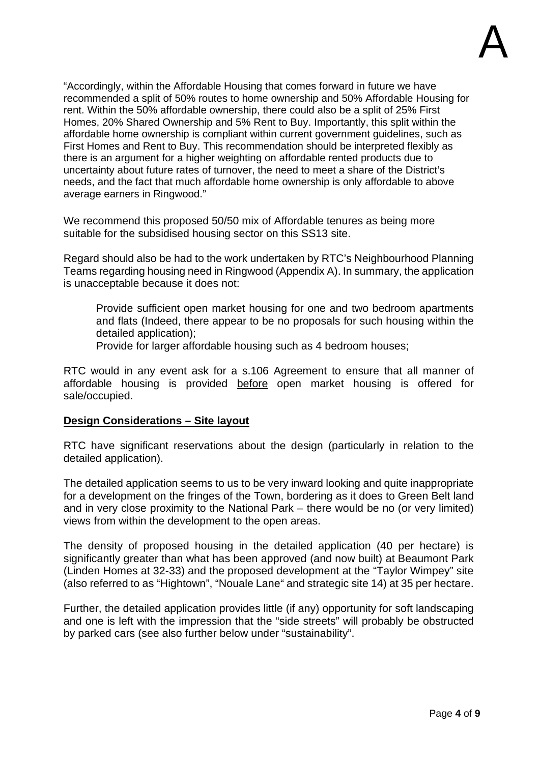"Accordingly, within the Affordable Housing that comes forward in future we have recommended a split of 50% routes to home ownership and 50% Affordable Housing for rent. Within the 50% affordable ownership, there could also be a split of 25% First Homes, 20% Shared Ownership and 5% Rent to Buy. Importantly, this split within the affordable home ownership is compliant within current government guidelines, such as First Homes and Rent to Buy. This recommendation should be interpreted flexibly as there is an argument for a higher weighting on affordable rented products due to uncertainty about future rates of turnover, the need to meet a share of the District's needs, and the fact that much affordable home ownership is only affordable to above average earners in Ringwood."

We recommend this proposed 50/50 mix of Affordable tenures as being more suitable for the subsidised housing sector on this SS13 site.

Regard should also be had to the work undertaken by RTC's Neighbourhood Planning Teams regarding housing need in Ringwood (Appendix A). In summary, the application is unacceptable because it does not:

Provide sufficient open market housing for one and two bedroom apartments and flats (Indeed, there appear to be no proposals for such housing within the detailed application);

Provide for larger affordable housing such as 4 bedroom houses;

RTC would in any event ask for a s.106 Agreement to ensure that all manner of affordable housing is provided before open market housing is offered for sale/occupied.

#### **Design Considerations – Site layout**

RTC have significant reservations about the design (particularly in relation to the detailed application).

The detailed application seems to us to be very inward looking and quite inappropriate for a development on the fringes of the Town, bordering as it does to Green Belt land and in very close proximity to the National Park – there would be no (or very limited) views from within the development to the open areas.

The density of proposed housing in the detailed application (40 per hectare) is significantly greater than what has been approved (and now built) at Beaumont Park (Linden Homes at 32-33) and the proposed development at the "Taylor Wimpey" site (also referred to as "Hightown", "Nouale Lane" and strategic site 14) at 35 per hectare.

Further, the detailed application provides little (if any) opportunity for soft landscaping and one is left with the impression that the "side streets" will probably be obstructed by parked cars (see also further below under "sustainability".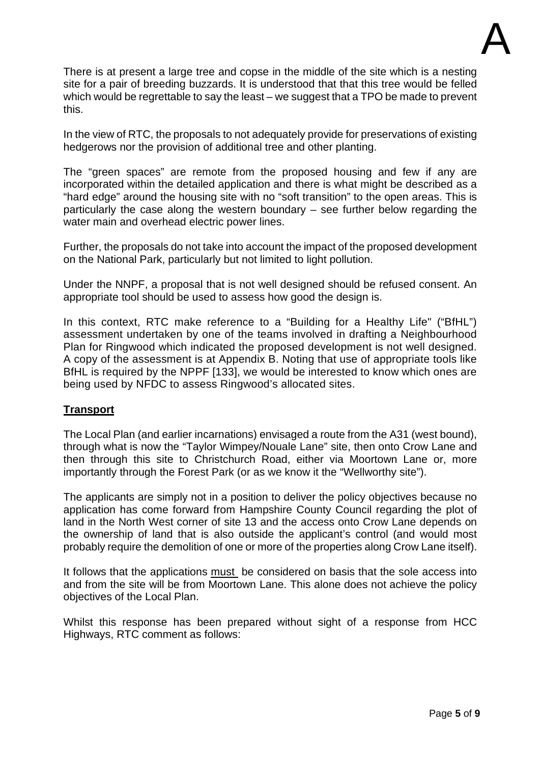There is at present a large tree and copse in the middle of the site which is a nesting site for a pair of breeding buzzards. It is understood that that this tree would be felled which would be regrettable to say the least – we suggest that a TPO be made to prevent this.

In the view of RTC, the proposals to not adequately provide for preservations of existing hedgerows nor the provision of additional tree and other planting.

The "green spaces" are remote from the proposed housing and few if any are incorporated within the detailed application and there is what might be described as a "hard edge" around the housing site with no "soft transition" to the open areas. This is particularly the case along the western boundary – see further below regarding the water main and overhead electric power lines.

Further, the proposals do not take into account the impact of the proposed development on the National Park, particularly but not limited to light pollution.

Under the NNPF, a proposal that is not well designed should be refused consent. An appropriate tool should be used to assess how good the design is.

In this context, RTC make reference to a "Building for a Healthy Life" ("BfHL") assessment undertaken by one of the teams involved in drafting a Neighbourhood Plan for Ringwood which indicated the proposed development is not well designed. A copy of the assessment is at Appendix B. Noting that use of appropriate tools like BfHL is required by the NPPF [133], we would be interested to know which ones are being used by NFDC to assess Ringwood's allocated sites.

# **Transport**

The Local Plan (and earlier incarnations) envisaged a route from the A31 (west bound), through what is now the "Taylor Wimpey/Nouale Lane" site, then onto Crow Lane and then through this site to Christchurch Road, either via Moortown Lane or, more importantly through the Forest Park (or as we know it the "Wellworthy site").

The applicants are simply not in a position to deliver the policy objectives because no application has come forward from Hampshire County Council regarding the plot of land in the North West corner of site 13 and the access onto Crow Lane depends on the ownership of land that is also outside the applicant's control (and would most probably require the demolition of one or more of the properties along Crow Lane itself).

It follows that the applications must be considered on basis that the sole access into and from the site will be from Moortown Lane. This alone does not achieve the policy objectives of the Local Plan.

Whilst this response has been prepared without sight of a response from HCC Highways, RTC comment as follows: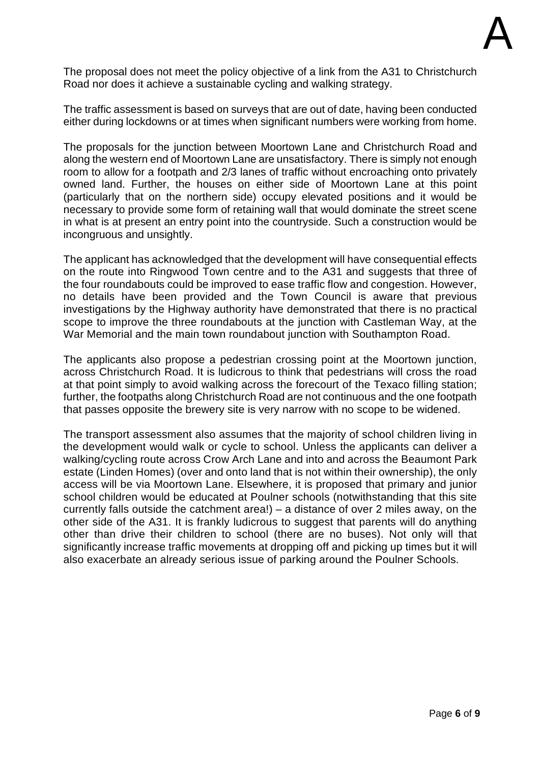The proposal does not meet the policy objective of a link from the A31 to Christchurch Road nor does it achieve a sustainable cycling and walking strategy.

The traffic assessment is based on surveys that are out of date, having been conducted either during lockdowns or at times when significant numbers were working from home.

The proposals for the junction between Moortown Lane and Christchurch Road and along the western end of Moortown Lane are unsatisfactory. There is simply not enough room to allow for a footpath and 2/3 lanes of traffic without encroaching onto privately owned land. Further, the houses on either side of Moortown Lane at this point (particularly that on the northern side) occupy elevated positions and it would be necessary to provide some form of retaining wall that would dominate the street scene in what is at present an entry point into the countryside. Such a construction would be incongruous and unsightly.

The applicant has acknowledged that the development will have consequential effects on the route into Ringwood Town centre and to the A31 and suggests that three of the four roundabouts could be improved to ease traffic flow and congestion. However, no details have been provided and the Town Council is aware that previous investigations by the Highway authority have demonstrated that there is no practical scope to improve the three roundabouts at the junction with Castleman Way, at the War Memorial and the main town roundabout junction with Southampton Road.

The applicants also propose a pedestrian crossing point at the Moortown junction, across Christchurch Road. It is ludicrous to think that pedestrians will cross the road at that point simply to avoid walking across the forecourt of the Texaco filling station; further, the footpaths along Christchurch Road are not continuous and the one footpath that passes opposite the brewery site is very narrow with no scope to be widened.

The transport assessment also assumes that the majority of school children living in the development would walk or cycle to school. Unless the applicants can deliver a walking/cycling route across Crow Arch Lane and into and across the Beaumont Park estate (Linden Homes) (over and onto land that is not within their ownership), the only access will be via Moortown Lane. Elsewhere, it is proposed that primary and junior school children would be educated at Poulner schools (notwithstanding that this site currently falls outside the catchment area!) – a distance of over 2 miles away, on the other side of the A31. It is frankly ludicrous to suggest that parents will do anything other than drive their children to school (there are no buses). Not only will that significantly increase traffic movements at dropping off and picking up times but it will also exacerbate an already serious issue of parking around the Poulner Schools.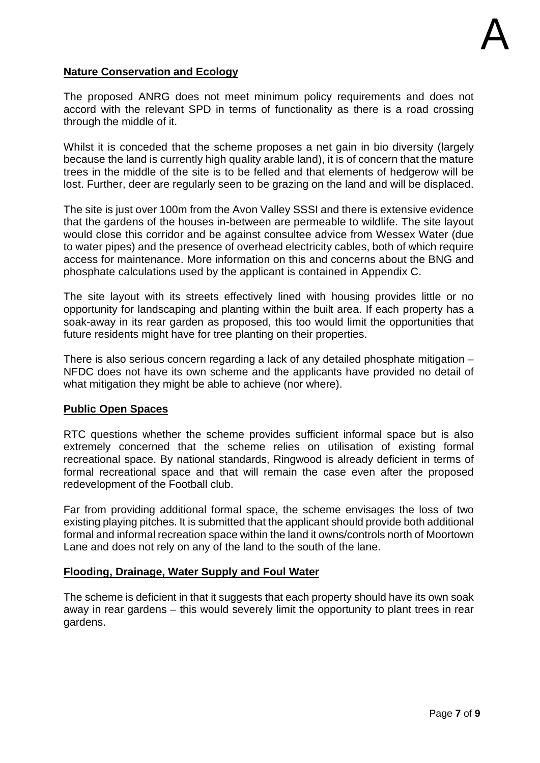## **Nature Conservation and Ecology**

The proposed ANRG does not meet minimum policy requirements and does not accord with the relevant SPD in terms of functionality as there is a road crossing through the middle of it.

Whilst it is conceded that the scheme proposes a net gain in bio diversity (largely because the land is currently high quality arable land), it is of concern that the mature trees in the middle of the site is to be felled and that elements of hedgerow will be lost. Further, deer are regularly seen to be grazing on the land and will be displaced.

The site is just over 100m from the Avon Valley SSSI and there is extensive evidence that the gardens of the houses in-between are permeable to wildlife. The site layout would close this corridor and be against consultee advice from Wessex Water (due to water pipes) and the presence of overhead electricity cables, both of which require access for maintenance. More information on this and concerns about the BNG and phosphate calculations used by the applicant is contained in Appendix C.

The site layout with its streets effectively lined with housing provides little or no opportunity for landscaping and planting within the built area. If each property has a soak-away in its rear garden as proposed, this too would limit the opportunities that future residents might have for tree planting on their properties.

There is also serious concern regarding a lack of any detailed phosphate mitigation – NFDC does not have its own scheme and the applicants have provided no detail of what mitigation they might be able to achieve (nor where).

#### **Public Open Spaces**

RTC questions whether the scheme provides sufficient informal space but is also extremely concerned that the scheme relies on utilisation of existing formal recreational space. By national standards, Ringwood is already deficient in terms of formal recreational space and that will remain the case even after the proposed redevelopment of the Football club.

Far from providing additional formal space, the scheme envisages the loss of two existing playing pitches. It is submitted that the applicant should provide both additional formal and informal recreation space within the land it owns/controls north of Moortown Lane and does not rely on any of the land to the south of the lane.

#### **Flooding, Drainage, Water Supply and Foul Water**

The scheme is deficient in that it suggests that each property should have its own soak away in rear gardens – this would severely limit the opportunity to plant trees in rear gardens.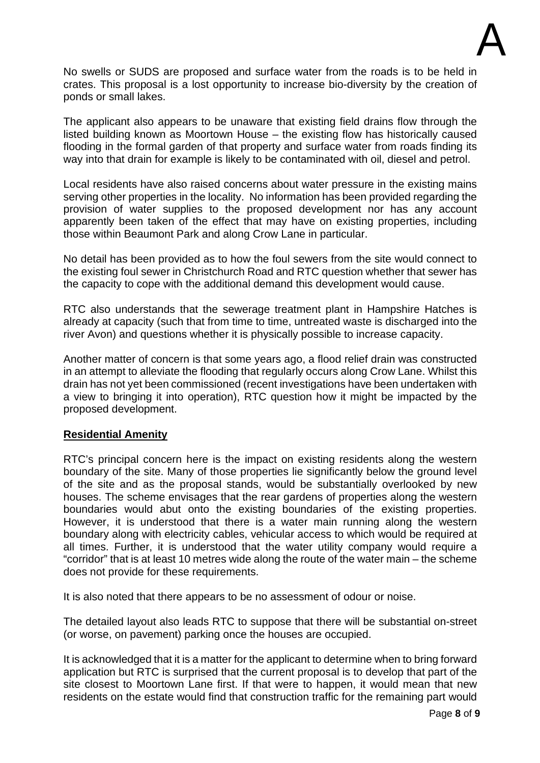No swells or SUDS are proposed and surface water from the roads is to be held in crates. This proposal is a lost opportunity to increase bio-diversity by the creation of ponds or small lakes.

The applicant also appears to be unaware that existing field drains flow through the listed building known as Moortown House – the existing flow has historically caused flooding in the formal garden of that property and surface water from roads finding its way into that drain for example is likely to be contaminated with oil, diesel and petrol.

Local residents have also raised concerns about water pressure in the existing mains serving other properties in the locality. No information has been provided regarding the provision of water supplies to the proposed development nor has any account apparently been taken of the effect that may have on existing properties, including those within Beaumont Park and along Crow Lane in particular.

No detail has been provided as to how the foul sewers from the site would connect to the existing foul sewer in Christchurch Road and RTC question whether that sewer has the capacity to cope with the additional demand this development would cause.

RTC also understands that the sewerage treatment plant in Hampshire Hatches is already at capacity (such that from time to time, untreated waste is discharged into the river Avon) and questions whether it is physically possible to increase capacity.

Another matter of concern is that some years ago, a flood relief drain was constructed in an attempt to alleviate the flooding that regularly occurs along Crow Lane. Whilst this drain has not yet been commissioned (recent investigations have been undertaken with a view to bringing it into operation), RTC question how it might be impacted by the proposed development.

#### **Residential Amenity**

RTC's principal concern here is the impact on existing residents along the western boundary of the site. Many of those properties lie significantly below the ground level of the site and as the proposal stands, would be substantially overlooked by new houses. The scheme envisages that the rear gardens of properties along the western boundaries would abut onto the existing boundaries of the existing properties. However, it is understood that there is a water main running along the western boundary along with electricity cables, vehicular access to which would be required at all times. Further, it is understood that the water utility company would require a "corridor" that is at least 10 metres wide along the route of the water main – the scheme does not provide for these requirements.

It is also noted that there appears to be no assessment of odour or noise.

The detailed layout also leads RTC to suppose that there will be substantial on-street (or worse, on pavement) parking once the houses are occupied.

It is acknowledged that it is a matter for the applicant to determine when to bring forward application but RTC is surprised that the current proposal is to develop that part of the site closest to Moortown Lane first. If that were to happen, it would mean that new residents on the estate would find that construction traffic for the remaining part would